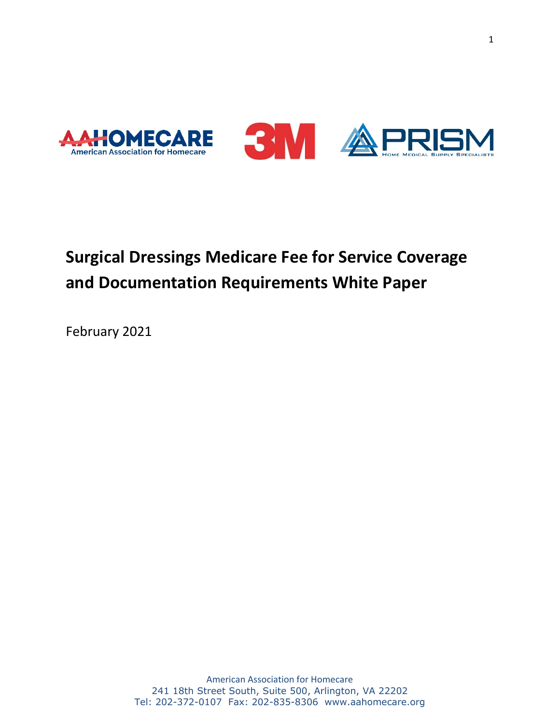

# **Surgical Dressings Medicare Fee for Service Coverage and Documentation Requirements White Paper**

February 2021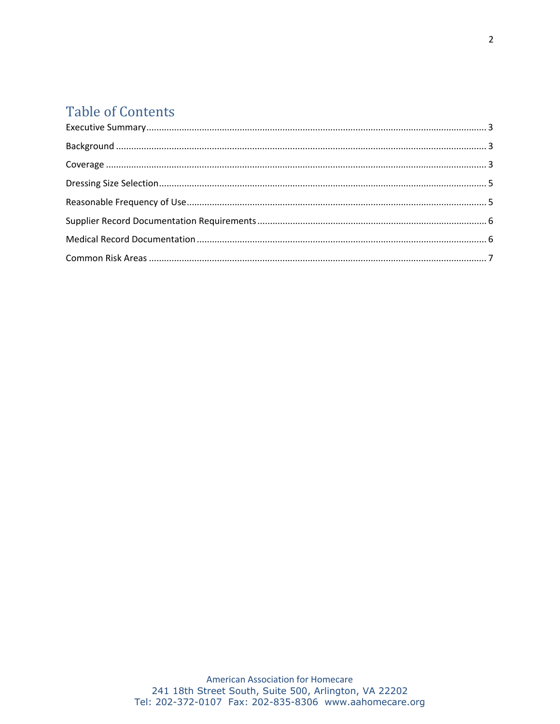# **Table of Contents**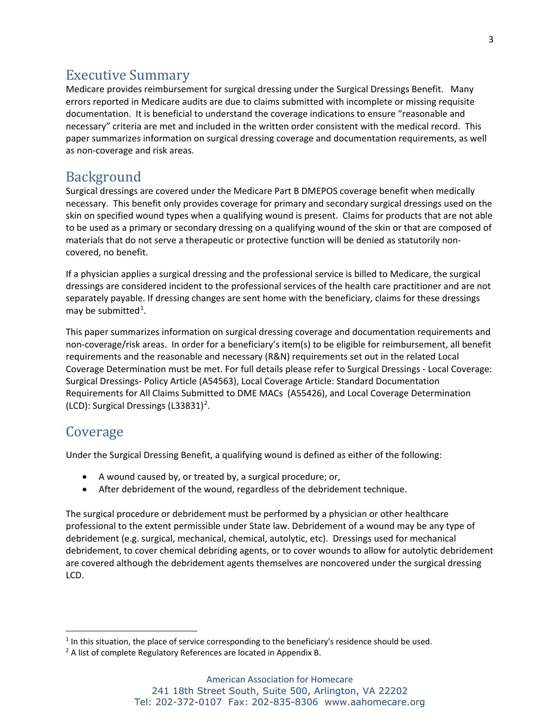### <span id="page-2-0"></span>Executive Summary

Medicare provides reimbursement for surgical dressing under the Surgical Dressings Benefit. Many errors reported in Medicare audits are due to claims submitted with incomplete or missing requisite documentation. It is beneficial to understand the coverage indications to ensure "reasonable and necessary" criteria are met and included in the written order consistent with the medical record. This paper summarizes information on surgical dressing coverage and documentation requirements, as well as non-coverage and risk areas.

### <span id="page-2-1"></span>Background

Surgical dressings are covered under the Medicare Part B DMEPOS coverage benefit when medically necessary. This benefit only provides coverage for primary and secondary surgical dressings used on the skin on specified wound types when a qualifying wound is present. Claims for products that are not able to be used as a primary or secondary dressing on a qualifying wound of the skin or that are composed of materials that do not serve a therapeutic or protective function will be denied as statutorily noncovered, no benefit.

If a physician applies a surgical dressing and the professional service is billed to Medicare, the surgical dressings are considered incident to the professional services of the health care practitioner and are not separately payable. If dressing changes are sent home with the beneficiary, claims for these dressings may be submitted<sup>[1](#page-2-3)</sup>.

This paper summarizes information on surgical dressing coverage and documentation requirements and non-coverage/risk areas. In order for a beneficiary's item(s) to be eligible for reimbursement, all benefit requirements and the reasonable and necessary (R&N) requirements set out in the related Local Coverage Determination must be met. For full details please refer to Surgical Dressings - Local Coverage: Surgical Dressings- Policy Article (A54563), Local Coverage Article: Standard Documentation Requirements for All Claims Submitted to DME MACs (A55426), and Local Coverage Determination (LCD): Surgical Dressings (L33831)<sup>[2](#page-2-4)</sup>.

# <span id="page-2-2"></span>Coverage

Under the Surgical Dressing Benefit, a qualifying wound is defined as either of the following:

- A wound caused by, or treated by, a surgical procedure; or,
- After debridement of the wound, regardless of the debridement technique.

The surgical procedure or debridement must be performed by a physician or other healthcare professional to the extent permissible under State law. Debridement of a wound may be any type of debridement (e.g. surgical, mechanical, chemical, autolytic, etc). Dressings used for mechanical debridement, to cover chemical debriding agents, or to cover wounds to allow for autolytic debridement are covered although the debridement agents themselves are noncovered under the surgical dressing LCD.

<span id="page-2-3"></span> $<sup>1</sup>$  In this situation, the place of service corresponding to the beneficiary's residence should be used.</sup>

<span id="page-2-4"></span><sup>&</sup>lt;sup>2</sup> A list of complete Regulatory References are located in Appendix B.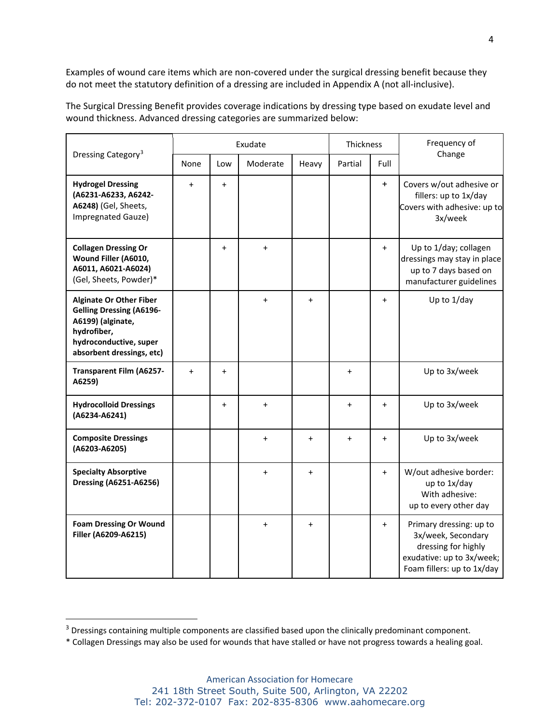Examples of wound care items which are non-covered under the surgical dressing benefit because they do not meet the statutory definition of a dressing are included in Appendix A (not all-inclusive).

The Surgical Dressing Benefit provides coverage indications by dressing type based on exudate level and wound thickness. Advanced dressing categories are summarized below:

|                                                                                                                                                              | Exudate     |           |           |           | Thickness |           | Frequency of                                                                                                                    |
|--------------------------------------------------------------------------------------------------------------------------------------------------------------|-------------|-----------|-----------|-----------|-----------|-----------|---------------------------------------------------------------------------------------------------------------------------------|
| Dressing Category <sup>3</sup>                                                                                                                               | <b>None</b> | Low       | Moderate  | Heavy     | Partial   | Full      | Change                                                                                                                          |
| <b>Hydrogel Dressing</b><br>(A6231-A6233, A6242-<br>A6248) (Gel, Sheets,<br>Impregnated Gauze)                                                               | $\ddot{}$   | $\ddot{}$ |           |           |           | $\ddot{}$ | Covers w/out adhesive or<br>fillers: up to 1x/day<br>Covers with adhesive: up to<br>3x/week                                     |
| <b>Collagen Dressing Or</b><br>Wound Filler (A6010,<br>A6011, A6021-A6024)<br>(Gel, Sheets, Powder)*                                                         |             | $+$       | $\ddot{}$ |           |           | $+$       | Up to 1/day; collagen<br>dressings may stay in place<br>up to 7 days based on<br>manufacturer guidelines                        |
| <b>Alginate Or Other Fiber</b><br><b>Gelling Dressing (A6196-</b><br>A6199) (alginate,<br>hydrofiber,<br>hydroconductive, super<br>absorbent dressings, etc) |             |           | $\ddot{}$ | $+$       |           | $\ddot{}$ | Up to 1/day                                                                                                                     |
| <b>Transparent Film (A6257-</b><br>A6259)                                                                                                                    | $\ddot{}$   | $+$       |           |           | $\ddot{}$ |           | Up to 3x/week                                                                                                                   |
| <b>Hydrocolloid Dressings</b><br>(A6234-A6241)                                                                                                               |             | $\ddot{}$ | $\ddot{}$ |           | $\pmb{+}$ | $\ddot{}$ | Up to 3x/week                                                                                                                   |
| <b>Composite Dressings</b><br>(A6203-A6205)                                                                                                                  |             |           | $\pmb{+}$ | $\ddot{}$ | $\pmb{+}$ | $\ddot{}$ | Up to 3x/week                                                                                                                   |
| <b>Specialty Absorptive</b><br><b>Dressing (A6251-A6256)</b>                                                                                                 |             |           | $+$       | $+$       |           | $+$       | W/out adhesive border:<br>up to 1x/day<br>With adhesive:<br>up to every other day                                               |
| <b>Foam Dressing Or Wound</b><br>Filler (A6209-A6215)                                                                                                        |             |           | $\ddot{}$ | $\ddot{}$ |           | $\ddot{}$ | Primary dressing: up to<br>3x/week, Secondary<br>dressing for highly<br>exudative: up to 3x/week;<br>Foam fillers: up to 1x/day |

<span id="page-3-0"></span><sup>&</sup>lt;sup>3</sup> Dressings containing multiple components are classified based upon the clinically predominant component.

<sup>\*</sup> Collagen Dressings may also be used for wounds that have stalled or have not progress towards a healing goal.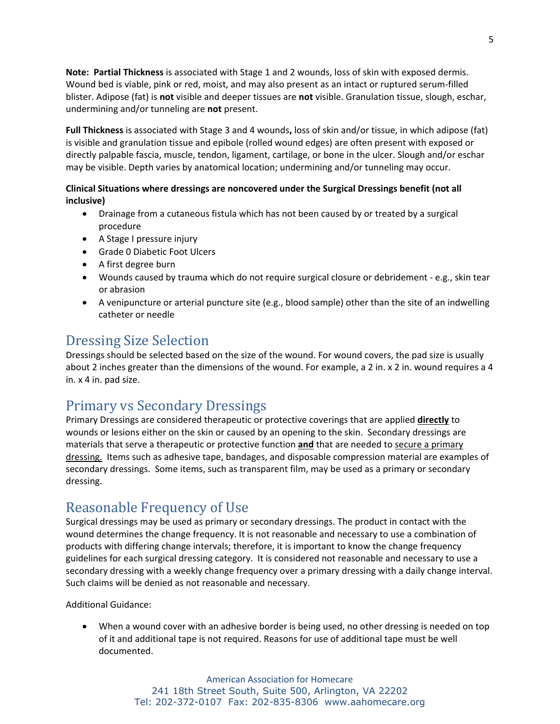**Note: Partial Thickness** is associated with Stage 1 and 2 wounds, loss of skin with exposed dermis. Wound bed is viable, pink or red, moist, and may also present as an intact or ruptured serum-filled blister. Adipose (fat) is **not** visible and deeper tissues are **not** visible. Granulation tissue, slough, eschar, undermining and/or tunneling are **not** present.

**Full Thickness** is associated with Stage 3 and 4 wounds**,** loss of skin and/or tissue, in which adipose (fat) is visible and granulation tissue and epibole (rolled wound edges) are often present with exposed or directly palpable fascia, muscle, tendon, ligament, cartilage, or bone in the ulcer. Slough and/or eschar may be visible. Depth varies by anatomical location; undermining and/or tunneling may occur.

#### **Clinical Situations where dressings are noncovered under the Surgical Dressings benefit (not all inclusive)**

- Drainage from a cutaneous fistula which has not been caused by or treated by a surgical procedure
- A Stage I pressure injury
- Grade 0 Diabetic Foot Ulcers
- A first degree burn
- Wounds caused by trauma which do not require surgical closure or debridement e.g., skin tear or abrasion
- A venipuncture or arterial puncture site (e.g., blood sample) other than the site of an indwelling catheter or needle

# <span id="page-4-0"></span>Dressing Size Selection

Dressings should be selected based on the size of the wound. For wound covers, the pad size is usually about 2 inches greater than the dimensions of the wound. For example, a 2 in. x 2 in. wound requires a 4 in. x 4 in. pad size.

# Primary vs Secondary Dressings

Primary Dressings are considered therapeutic or protective coverings that are applied **directly** to wounds or lesions either on the skin or caused by an opening to the skin. Secondary dressings are materials that serve a therapeutic or protective function **and** that are needed to secure a primary dressing. Items such as adhesive tape, bandages, and disposable compression material are examples of secondary dressings. Some items, such as transparent film, may be used as a primary or secondary dressing.

# <span id="page-4-1"></span>Reasonable Frequency of Use

Surgical dressings may be used as primary or secondary dressings. The product in contact with the wound determines the change frequency. It is not reasonable and necessary to use a combination of products with differing change intervals; therefore, it is important to know the change frequency guidelines for each surgical dressing category. It is considered not reasonable and necessary to use a secondary dressing with a weekly change frequency over a primary dressing with a daily change interval. Such claims will be denied as not reasonable and necessary.

Additional Guidance:

• When a wound cover with an adhesive border is being used, no other dressing is needed on top of it and additional tape is not required. Reasons for use of additional tape must be well documented.

> American Association for Homecare 241 18th Street South, Suite 500, Arlington, VA 22202 Tel: 202-372-0107 Fax: 202-835-8306 www.aahomecare.org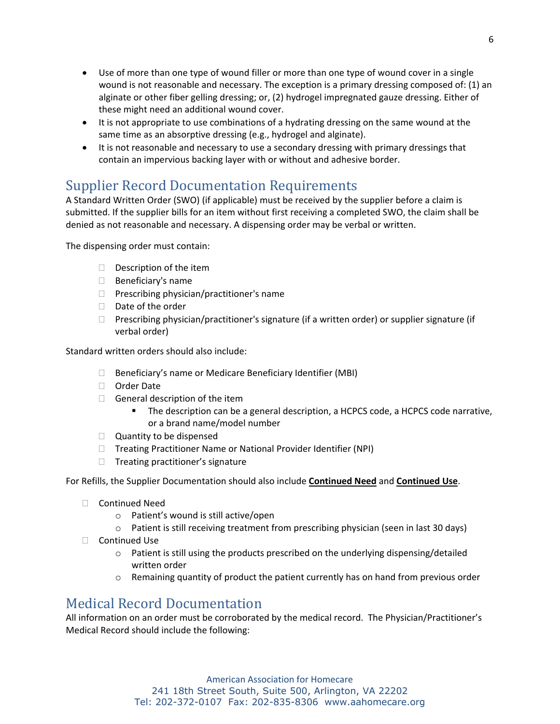- Use of more than one type of wound filler or more than one type of wound cover in a single wound is not reasonable and necessary. The exception is a primary dressing composed of: (1) an alginate or other fiber gelling dressing; or, (2) hydrogel impregnated gauze dressing. Either of these might need an additional wound cover.
- It is not appropriate to use combinations of a hydrating dressing on the same wound at the same time as an absorptive dressing (e.g., hydrogel and alginate).
- It is not reasonable and necessary to use a secondary dressing with primary dressings that contain an impervious backing layer with or without and adhesive border.

# <span id="page-5-0"></span>Supplier Record Documentation Requirements

A Standard Written Order (SWO) (if applicable) must be received by the supplier before a claim is submitted. If the supplier bills for an item without first receiving a completed SWO, the claim shall be denied as not reasonable and necessary. A dispensing order may be verbal or written.

The dispensing order must contain:

- $\Box$  Description of the item
- □ Beneficiary's name
- $\Box$  Prescribing physician/practitioner's name
- $\Box$  Date of the order
- $\Box$  Prescribing physician/practitioner's signature (if a written order) or supplier signature (if verbal order)

Standard written orders should also include:

- $\Box$  Beneficiary's name or Medicare Beneficiary Identifier (MBI)
- □ Order Date
- $\Box$  General description of the item
	- **The description can be a general description, a HCPCS code, a HCPCS code narrative,** or a brand name/model number
- $\Box$  Quantity to be dispensed
- $\Box$  Treating Practitioner Name or National Provider Identifier (NPI)
- $\Box$  Treating practitioner's signature

For Refills, the Supplier Documentation should also include **Continued Need** and **Continued Use**.

- Continued Need
	- o Patient's wound is still active/open
	- o Patient is still receiving treatment from prescribing physician (seen in last 30 days)
- □ Continued Use
	- o Patient is still using the products prescribed on the underlying dispensing/detailed written order
	- o Remaining quantity of product the patient currently has on hand from previous order

#### <span id="page-5-1"></span>Medical Record Documentation

All information on an order must be corroborated by the medical record. The Physician/Practitioner's Medical Record should include the following: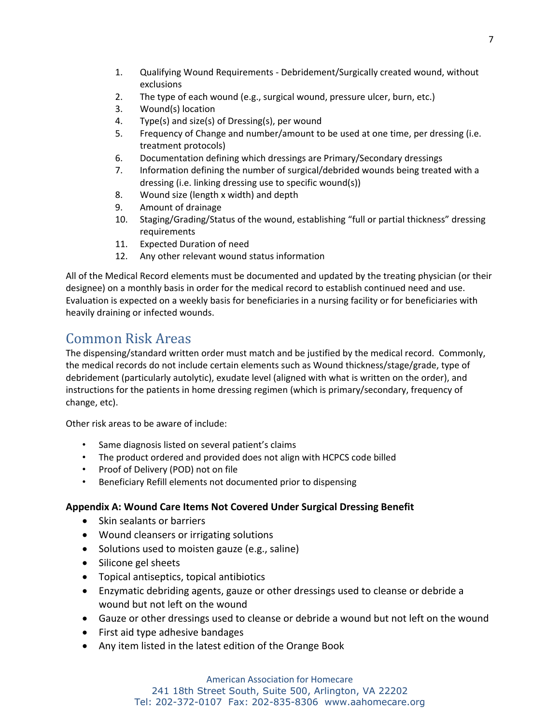- 1. Qualifying Wound Requirements Debridement/Surgically created wound, without exclusions
- 2. The type of each wound (e.g., surgical wound, pressure ulcer, burn, etc.)
- 3. Wound(s) location
- 4. Type(s) and size(s) of Dressing(s), per wound
- 5. Frequency of Change and number/amount to be used at one time, per dressing (i.e. treatment protocols)
- 6. Documentation defining which dressings are Primary/Secondary dressings
- 7. Information defining the number of surgical/debrided wounds being treated with a dressing (i.e. linking dressing use to specific wound(s))
- 8. Wound size (length x width) and depth
- 9. Amount of drainage
- 10. Staging/Grading/Status of the wound, establishing "full or partial thickness" dressing requirements
- 11. Expected Duration of need
- 12. Any other relevant wound status information

All of the Medical Record elements must be documented and updated by the treating physician (or their designee) on a monthly basis in order for the medical record to establish continued need and use. Evaluation is expected on a weekly basis for beneficiaries in a nursing facility or for beneficiaries with heavily draining or infected wounds.

### <span id="page-6-0"></span>Common Risk Areas

The dispensing/standard written order must match and be justified by the medical record. Commonly, the medical records do not include certain elements such as Wound thickness/stage/grade, type of debridement (particularly autolytic), exudate level (aligned with what is written on the order), and instructions for the patients in home dressing regimen (which is primary/secondary, frequency of change, etc).

Other risk areas to be aware of include:

- Same diagnosis listed on several patient's claims
- The product ordered and provided does not align with HCPCS code billed
- Proof of Delivery (POD) not on file
- Beneficiary Refill elements not documented prior to dispensing

#### **Appendix A: Wound Care Items Not Covered Under Surgical Dressing Benefit**

- Skin sealants or barriers
- Wound cleansers or irrigating solutions
- Solutions used to moisten gauze (e.g., saline)
- Silicone gel sheets
- Topical antiseptics, topical antibiotics
- Enzymatic debriding agents, gauze or other dressings used to cleanse or debride a wound but not left on the wound
- Gauze or other dressings used to cleanse or debride a wound but not left on the wound
- First aid type adhesive bandages
- Any item listed in the latest edition of the Orange Book